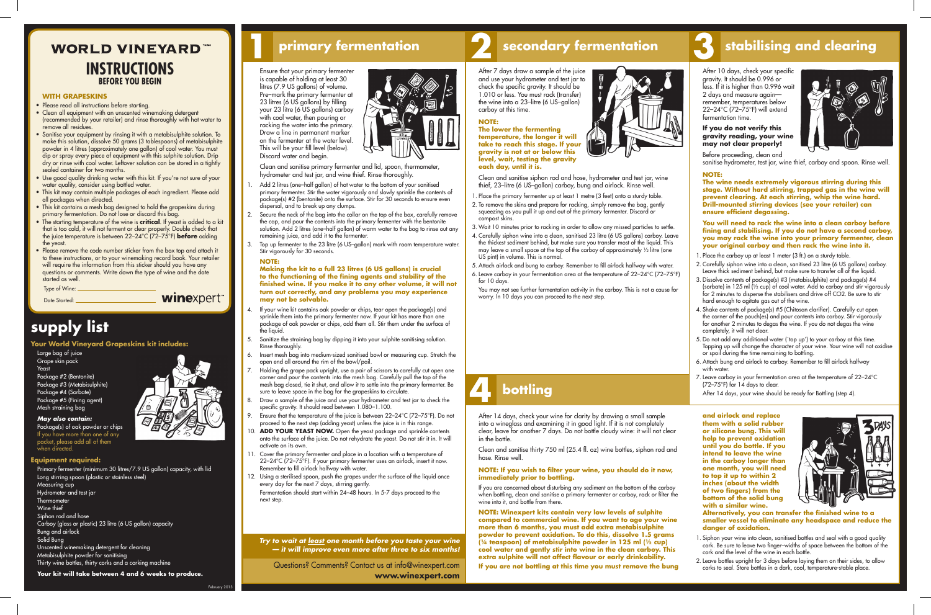Date Started:

winexpert

*Try to wait at least one month before you taste your wine — it will improve even more after three to six months!*

# **5 bottling 4 bottling**

**1 primary fermentation 2 secondary fermentation 3 stabilising and clearing**

Questions? Comments? Contact us at info@winexpert.com **www.winexpert.com**

### **WITH GRAPESKINS**

- Please read all instructions before starting.
- Clean all equipment with an unscented winemaking detergent (recommended by your retailer) and rinse thoroughly with hot water to remove all residues.
- Sanitise your equipment by rinsing it with a metabisulphite solution. To make this solution, dissolve 50 grams (3 tablespoons) of metabisulphite powder in 4 litres (approximately one gallon) of cool water. You must dip or spray every piece of equipment with this sulphite solution. Drip dry or rinse with cool water. Leftover solution can be stored in a tightly sealed container for two months.
- • Use good quality drinking water with this kit. If you're not sure of your water quality, consider using bottled water.
- • This kit may contain multiple packages of each ingredient. Please add all packages when directed.
- This kit contains a mesh bag designed to hold the grapeskins during primary fermentation. Do not lose or discard this bag.
- • The starting temperature of the wine is **critical**. If yeast is added to a kit that is too cold, it will not ferment or clear properly. Double check that the juice temperature is between 22–24°C (72–75°F) **before** adding the yeast.
- Type of Wine: • Please remove the code number sticker from the box top and attach it to these instructions, or to your winemaking record book. Your retailer will require the information from this sticker should you have any questions or comments. Write down the type of wine and the date started as well.
- Add 2 litres (one-half gallon) of hot water to the bottom of your sanitised primary fermenter. Stir the water vigorously and slowly sprinkle the contents of package(s) #2 (bentonite) onto the surface. Stir for 30 seconds to ensure even dispersal, and to break up any clumps.
- Secure the neck of the bag into the collar on the top of the box, carefully remove the cap, and pour the contents into the primary fermenter with the bentonite solution. Add 2 litres (one–half gallon) of warm water to the bag to rinse out any remaining juice, and add it to the fermenter.
- Top up fermenter to the 23 litre (6 US-gallon) mark with room temperature water. Stir vigorously for 30 seconds.

 Ensure that your primary fermenter is capable of holding at least 30 litres (7.9 US gallons) of volume. Pre–mark the primary fermenter at 23 litres (6 US gallons) by filling your 23 litre (6 US gallons) carboy with cool water, then pouring or racking the water into the primary. Draw a line in permanent marker on the fermenter at the water level. This will be your fill level (below). Discard water and begin.



 Clean and sanitise primary fermenter and lid, spoon, thermometer, hydrometer and test jar, and wine thief. Rinse thoroughly.

- If your wine kit contains oak powder or chips, tear open the package(s) and sprinkle them into the primary fermenter now. If your kit has more than one package of oak powder or chips, add them all. Stir them under the surface of the liquid.
- 5. Sanitize the straining bag by dipping it into your sulphite sanitising solution. Rinse thoroughly.
- 6. Insert mesh bag into medium-sized sanitised bowl or measuring cup. Stretch the open end all around the rim of the bowl/pail.
- Holding the grape pack upright, use a pair of scissors to carefully cut open one corner and pour the contents into the mesh bag. Carefully pull the top of the mesh bag closed, tie it shut, and allow it to settle into the primary fermenter. Be sure to leave space in the bag for the grapeskins to circulate.
- 8. Draw a sample of the juice and use your hydrometer and test jar to check the specific gravity. It should read between 1.080–1.100.
- 9. Ensure that the temperature of the juice is between 22–24°C (72–75°F). Do not proceed to the next step (adding yeast) unless the juice is in this range.
- 10. **ADD YOUR YEAST NOW.** Open the yeast package and sprinkle contents onto the surface of the juice. Do not rehydrate the yeast. Do not stir it in. It will activate on its own.
- 11. Cover the primary fermenter and place in a location with a temperature of 22–24°C (72–75°F). If your primary fermenter uses an airlock, insert it now. Remember to fill airlock halfway with water.
- 12. Using a sterilised spoon, push the grapes under the surface of the liquid once every day for the next 7 days, stirring gently. Fermentation should start within 24–48 hours. In 5-7 days proceed to the next step.

#### **NOTE:**

- 1. Place the primary fermenter up at least 1 metre (3 feet) onto a sturdy table.
- 2. To remove the skins and prepare for racking, simply remove the bag, gently squeezing as you pull it up and out of the primary fermenter. Discard or compost skins.
- 3. Wait 10 minutes prior to racking in order to allow any missed particles to settle.
- 4. Carefully siphon wine into a clean, sanitised 23 litre (6 US gallons) carboy. Leave the thickest sediment behind, but make sure you transfer most of the liquid. This may leave a small space at the top of the carboy of approximately ½ litre (one US pint) in volume. This is normal.
- 5. Attach airlock and bung to carboy. Remember to fill airlock halfway with water.
- 6. Leave carboy in your fermentation area at the temperature of 22–24°C (72–75°F) for 10 days.

**Making the kit to a full 23 litres (6 US gallons) is crucial to the functioning of the fining agents and stability of the finished wine. If you make it to any other volume, it will not turn out correctly, and any problems you may experience may not be solvable.** 

- 1. Place the carboy up at least 1 meter (3 ft.) on a sturdy table.
- 2. Carefully siphon wine into a clean, sanitised 23 litre (6 US gallons) carboy. Leave thick sediment behind, but make sure to transfer all of the liquid.
- 3. Dissolve contents of package(s) #3 (metabisulphite) and package(s) #4 (sorbate) in 125 ml (½ cup) of cool water. Add to carboy and stir vigorously for 2 minutes to disperse the stabilisers and drive off CO2. Be sure to stir hard enough to agitate gas out of the wine.
- 4. Shake contents of package(s) #5 (Chitosan clarifier). Carefully cut open the corner of the pouch(es) and pour contents into carboy. Stir vigorously for another 2 minutes to degas the wine. If you do not degas the wine completely, it will not clear.
- 5. Do not add any additional water (`top up') to your carboy at this time. Topping up will change the character of your wine. Your wine will not oxidise or spoil during the time remaining to bottling.
- 6. Attach bung and airlock to carboy. Remember to fill airlock halfway with water.
- 7. Leave carboy in your fermentation area at the temperature of 22-24°C (72–75°F) for 14 days to clear.

After 14 days, your wine should be ready for Bottling (step 4).

After 7 days draw a sample of the juice and use your hydrometer and test jar to check the specific gravity. It should be 1.010 or less. You must rack (transfer) the wine into a 23–litre (6 US–gallon) carboy at this time.

#### **NOTE:**

### **WORLD VINEYARD INSTRUCTIONS BEFORE YOU BEGIN**

**The lower the fermenting temperature, the longer it will take to reach this stage. If your gravity is not at or below this level, wait, testing the gravity each day, until it is.** 



Clean and sanitise siphon rod and hose, hydrometer and test jar, wine thief, 23–litre (6 US–gallon) carboy, bung and airlock. Rinse well.

 You may not see further fermentation activity in the carboy. This is not a cause for worry. In 10 days you can proceed to the next step.

After 14 days, check your wine for clarity by drawing a small sample into a wineglass and examining it in good light. If it is not completely clear, leave for another 7 days. Do not bottle cloudy wine: it will not clear in the bottle.

Clean and sanitise thirty 750 ml (25.4 fl. oz) wine bottles, siphon rod and hose. Rinse well.

#### **NOTE: If you wish to filter your wine, you should do it now, immediately prior to bottling.**

 If you are concerned about disturbing any sediment on the bottom of the carboy when bottling, clean and sanitise a primary fermenter or carboy, rack or filter the wine into it, and bottle from there.

**NOTE: Winexpert kits contain very low levels of sulphite compared to commercial wine. If you want to age your wine more than 6 months, you must add extra metabisulphite powder to prevent oxidation. To do this, dissolve 1.5 grams (¼ teaspoon) of metabisulphite powder in 125 ml (½ cup) cool water and gently stir into wine in the clean carboy. This extra sulphite will not affect flavour or early drinkability. If you are not bottling at this time you must remove the bung** 



After 10 days, check your specific gravity. It should be 0.996 or less. If it is higher than 0.996 wait 2 days and measure again remember, temperatures below 22–24°C (72–75°F) will extend fermentation time.

#### **If you do not verify this gravity reading, your wine may not clear properly!**



Before proceeding, clean and sanitise hydrometer, test jar, wine thief, carboy and spoon. Rinse well.

### **NOTE:**

**The wine needs extremely vigorous stirring during this stage. Without hard stirring, trapped gas in the wine will prevent clearing. At each stirring, whip the wine hard. Drill-mounted stirring devices (see your retailer) can ensure efficient degassing.** 

**You will need to rack the wine into a clean carboy before fining and stabilising. If you do not have a second carboy, you may rack the wine into your primary fermenter, clean your original carboy and then rack the wine into it.** 

# **supply list**

**Your World Vineyard Grapeskins kit includes:**

Large bag of juice Grape skin pack Yeast Package #2 (Bentonite) Package #3 (Metabisulphite) Package #4 (Sorbate) Package #5 (Fining agent) Mesh straining bag

*May also contain:* Package(s) of oak powder or chips If you have more than one of any packet, please add all of them when directed.

#### **Equipment required:**

Primary fermenter (minimum 30 litres/7.9 US gallon) capacity, with lid Long stirring spoon (plastic or stainless steel) Measuring cup Hydrometer and test jar **Thermometer** Wine thief Siphon rod and hose Carboy (glass or plastic) 23 litre (6 US gallon) capacity Bung and airlock Solid Bung Unscented winemaking detergent for cleaning Metabisulphite powder for sanitising Thirty wine bottles, thirty corks and a corking machine

**Your kit will take between 4 and 6 weeks to produce.**

February 2013



**and airlock and replace them with a solid rubber or silicone bung. This will help to prevent oxidation until you do bottle. If you intend to leave the wine in the carboy longer than one month, you will need to top it up to within 2 inches (about the width of two fingers) from the bottom of the solid bung with a similar wine.** 



**Alternatively, you can transfer the finished wine to a smaller vessel to eliminate any headspace and reduce the danger of oxidation.** 

- 1. Siphon your wine into clean, sanitised bottles and seal with a good quality cork. Be sure to leave two finger–widths of space between the bottom of the cork and the level of the wine in each bottle.
- 2. Leave bottles upright for 3 days before laying them on their sides, to allow corks to seal. Store bottles in a dark, cool, temperature-stable place.